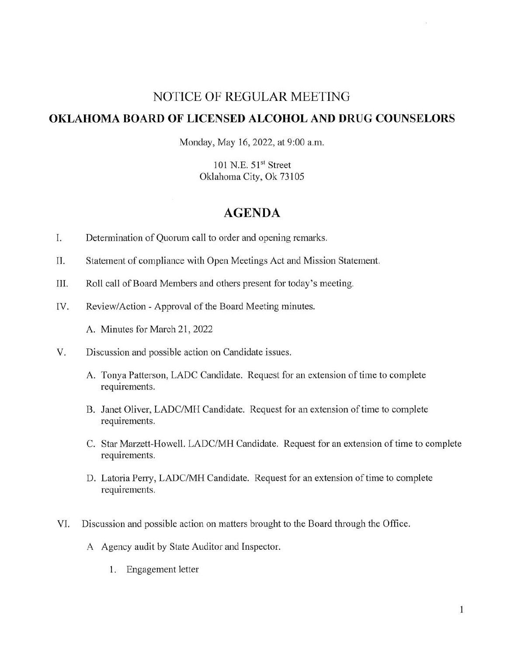# NOTICE OF REGULAR MEETING

### **OKLAHOMA BOARD OF LICENSED ALCOHOL AND DRUG COUNSELORS**

Monday, May 16, 2022, at 9:00 a.m.

101 N.E. 51" Street Oklahoma City, Ok 73105

## **AGENDA**

- I. Determination of Quorum call to order and opening remarks.
- 1I. Statement of compliance with Open Meetings Act and Mission Statement.
- III. Roll call of Board Members and others present for today's meeting.
- IV. Review/Action Approval of the Board Meeting minutes.
	- A. Minutes for March 21, 2022
- V. Discussion and possible action on Candidate issues.
	- A. Tonya Patterson, LADC Candidate. Request for an extension of time to complete requirements.
	- B. Janet Oliver, LADC/MH Candidate. Request for an extension of time to complete requirements.
	- C. Star Marzett-Howell. LADC/MH Candidate. Request for an extension of time to complete requirements.
	- D. Latoria Perry, LADC/MH Candidate. Request for an extension of time to complete requirements.
- VI. Discussion and possible action on matters brought to the Board through the Office.
	- A Agency audit by State Auditor and Inspector.
		- 1. Engagement letter